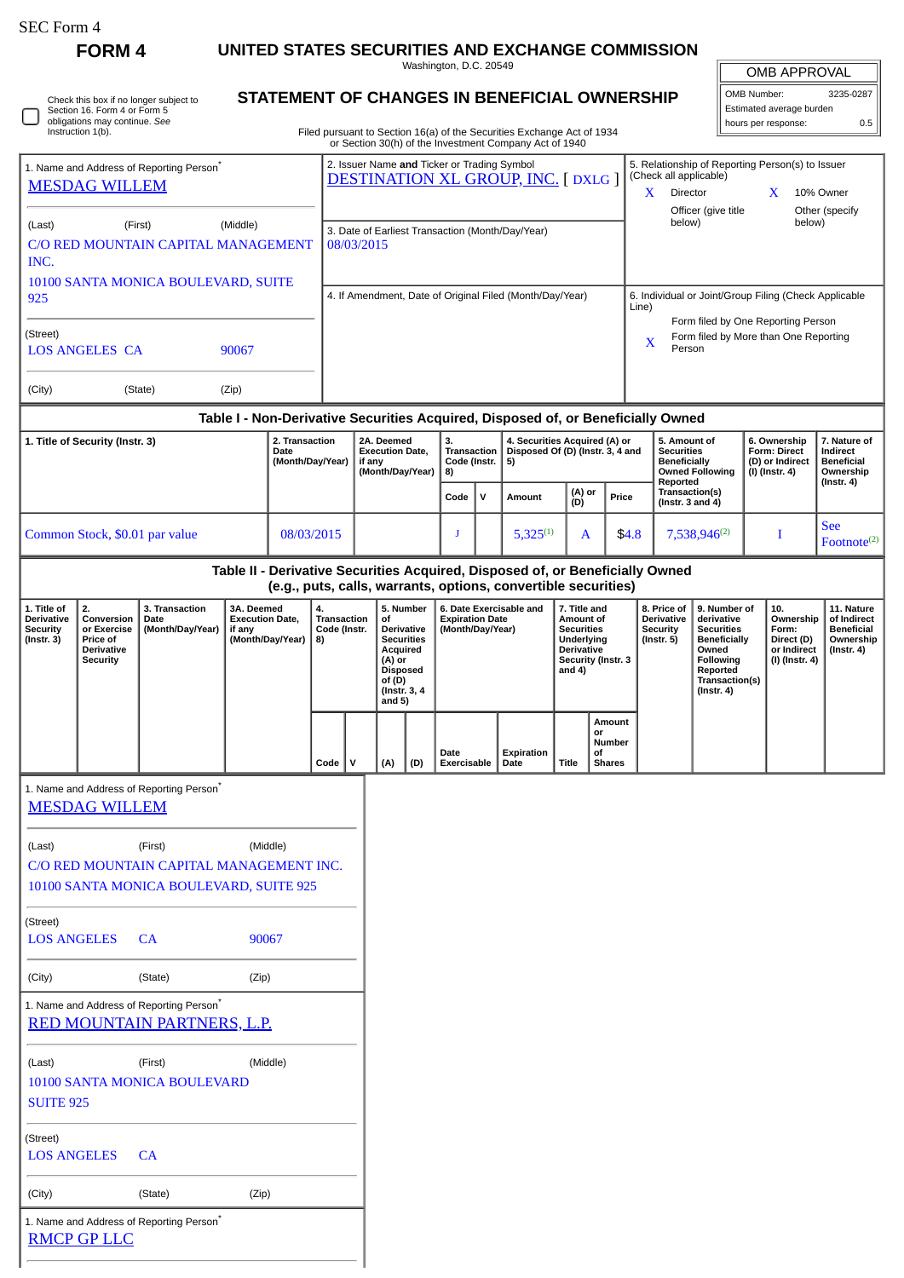| SEC Form 4 |  |
|------------|--|
|------------|--|

**FORM 4 UNITED STATES SECURITIES AND EXCHANGE COMMISSION**

Washington, D.C. 20549

|  | Check this box if no longer subject to<br>Section 16. Form 4 or Form 5<br>obligations may continue. See<br>Instruction 1(b). |
|--|------------------------------------------------------------------------------------------------------------------------------|
|--|------------------------------------------------------------------------------------------------------------------------------|

1. Name and Address of Reporting Person\*

SUITE 925

LOS ANGELES CA

[RMCP GP LLC](http://www.sec.gov/cgi-bin/browse-edgar?action=getcompany&CIK=0001374606)

(Street)

[RED MOUNTAIN PARTNERS, L.P.](http://www.sec.gov/cgi-bin/browse-edgar?action=getcompany&CIK=0001374603)

(City) (State) (Zip)

1. Name and Address of Reporting Person\*

(Last) (First) (Middle) 10100 SANTA MONICA BOULEVARD

## **STATEMENT OF CHANGES IN BENEFICIAL OWNERSHIP**

| <b>OMB APPROVAL</b>      |           |  |  |  |  |  |
|--------------------------|-----------|--|--|--|--|--|
| OMB Number:              | 3235-0287 |  |  |  |  |  |
| Estimated average burden |           |  |  |  |  |  |
| hours per response:      | 0.5       |  |  |  |  |  |

|                                                                              | obligations may continue. See<br>Instruction 1(b).                                  |                                                                                                |                                                                    |                          |                                                                                                                                                   |                                                                |                                                                                                  |                                |                                            |                                                | Filed pursuant to Section 16(a) of the Securities Exchange Act of 1934           |                                                                                                                     |          |                                                                                                      |                                                                         |                                                                                                                                                       |                                       | hours per response:                                                      | 0.5                                                                             |
|------------------------------------------------------------------------------|-------------------------------------------------------------------------------------|------------------------------------------------------------------------------------------------|--------------------------------------------------------------------|--------------------------|---------------------------------------------------------------------------------------------------------------------------------------------------|----------------------------------------------------------------|--------------------------------------------------------------------------------------------------|--------------------------------|--------------------------------------------|------------------------------------------------|----------------------------------------------------------------------------------|---------------------------------------------------------------------------------------------------------------------|----------|------------------------------------------------------------------------------------------------------|-------------------------------------------------------------------------|-------------------------------------------------------------------------------------------------------------------------------------------------------|---------------------------------------|--------------------------------------------------------------------------|---------------------------------------------------------------------------------|
| 1. Name and Address of Reporting Person <sup>®</sup><br><b>MESDAG WILLEM</b> |                                                                                     |                                                                                                |                                                                    |                          | or Section 30(h) of the Investment Company Act of 1940<br>2. Issuer Name and Ticker or Trading Symbol<br><b>DESTINATION XL GROUP, INC. [DXLG]</b> |                                                                |                                                                                                  |                                |                                            |                                                |                                                                                  |                                                                                                                     |          | (Check all applicable)<br>X                                                                          | Director                                                                |                                                                                                                                                       | X                                     | 5. Relationship of Reporting Person(s) to Issuer<br>10% Owner            |                                                                                 |
| (Middle)<br>(Last)<br>(First)<br>C/O RED MOUNTAIN CAPITAL MANAGEMENT<br>INC. |                                                                                     |                                                                                                |                                                                    |                          |                                                                                                                                                   | 3. Date of Earliest Transaction (Month/Day/Year)<br>08/03/2015 |                                                                                                  |                                |                                            |                                                |                                                                                  |                                                                                                                     |          |                                                                                                      | below)                                                                  | Officer (give title                                                                                                                                   |                                       | below)                                                                   | Other (specify                                                                  |
| 10100 SANTA MONICA BOULEVARD, SUITE<br>925                                   |                                                                                     |                                                                                                |                                                                    |                          | 4. If Amendment, Date of Original Filed (Month/Day/Year)                                                                                          |                                                                |                                                                                                  |                                |                                            |                                                |                                                                                  |                                                                                                                     |          | 6. Individual or Joint/Group Filing (Check Applicable<br>Line)<br>Form filed by One Reporting Person |                                                                         |                                                                                                                                                       |                                       |                                                                          |                                                                                 |
| (Street)<br>90067<br><b>LOS ANGELES CA</b>                                   |                                                                                     |                                                                                                |                                                                    |                          |                                                                                                                                                   |                                                                |                                                                                                  |                                |                                            |                                                |                                                                                  |                                                                                                                     |          | Form filed by More than One Reporting<br>X<br>Person                                                 |                                                                         |                                                                                                                                                       |                                       |                                                                          |                                                                                 |
| (City)                                                                       |                                                                                     | (State)                                                                                        | (Zip)                                                              |                          |                                                                                                                                                   |                                                                |                                                                                                  |                                |                                            |                                                |                                                                                  |                                                                                                                     |          |                                                                                                      |                                                                         |                                                                                                                                                       |                                       |                                                                          |                                                                                 |
|                                                                              | 1. Title of Security (Instr. 3)                                                     |                                                                                                |                                                                    | 2. Transaction           |                                                                                                                                                   |                                                                |                                                                                                  |                                | 3.                                         |                                                | Table I - Non-Derivative Securities Acquired, Disposed of, or Beneficially Owned |                                                                                                                     |          |                                                                                                      |                                                                         | 5. Amount of                                                                                                                                          |                                       | 6. Ownership                                                             | 7. Nature of                                                                    |
|                                                                              |                                                                                     |                                                                                                |                                                                    | Date<br>(Month/Day/Year) |                                                                                                                                                   | 2A. Deemed<br><b>Execution Date.</b><br>if any                 |                                                                                                  | (Month/Day/Year)               |                                            | <b>Transaction</b><br>Code (Instr.<br>5)<br>8) |                                                                                  | 4. Securities Acquired (A) or<br>Disposed Of (D) (Instr. 3, 4 and                                                   |          |                                                                                                      | <b>Securities</b><br><b>Beneficially</b><br>Reported                    | <b>Owned Following</b>                                                                                                                                |                                       | <b>Form: Direct</b><br>(D) or Indirect<br>(I) (Instr. 4)                 | Indirect<br><b>Beneficial</b><br>Ownership<br>$($ lnstr. 4 $)$                  |
|                                                                              |                                                                                     |                                                                                                |                                                                    |                          |                                                                                                                                                   |                                                                |                                                                                                  |                                | Code                                       | $\mathsf{v}$                                   | Amount                                                                           | (A) or<br>(D)                                                                                                       |          | Price                                                                                                |                                                                         | Transaction(s)<br>(Instr. $3$ and $4$ )                                                                                                               |                                       |                                                                          |                                                                                 |
| Common Stock, \$0.01 par value<br>08/03/2015                                 |                                                                                     |                                                                                                |                                                                    |                          |                                                                                                                                                   |                                                                | J                                                                                                |                                | $5,325^{(1)}$                              | A                                              |                                                                                  | \$4.8                                                                                                               |          | 7,538,946(2)                                                                                         |                                                                         | I                                                                                                                                                     | <b>See</b><br>Footnote <sup>(2)</sup> |                                                                          |                                                                                 |
|                                                                              |                                                                                     |                                                                                                |                                                                    |                          |                                                                                                                                                   |                                                                |                                                                                                  |                                |                                            |                                                | Table II - Derivative Securities Acquired, Disposed of, or Beneficially Owned    |                                                                                                                     |          |                                                                                                      |                                                                         |                                                                                                                                                       |                                       |                                                                          |                                                                                 |
|                                                                              |                                                                                     |                                                                                                |                                                                    |                          |                                                                                                                                                   |                                                                |                                                                                                  |                                |                                            |                                                | (e.g., puts, calls, warrants, options, convertible securities)                   |                                                                                                                     |          |                                                                                                      |                                                                         |                                                                                                                                                       |                                       |                                                                          |                                                                                 |
| 1. Title of<br><b>Derivative</b><br><b>Security</b><br>$($ Instr. 3 $)$      | 2.<br>Conversion<br>or Exercise<br>Price of<br><b>Derivative</b><br><b>Security</b> | 3. Transaction<br>Date<br>(Month/Day/Year)                                                     | 3A. Deemed<br><b>Execution Date,</b><br>if any<br>(Month/Day/Year) |                          | 4.<br><b>Transaction</b><br>Code (Instr.<br>8)                                                                                                    |                                                                | οf<br>Derivative<br>Acquired<br>(A) or<br><b>Disposed</b><br>of (D)<br>(Instr. 3, 4)<br>and $5)$ | 5. Number<br><b>Securities</b> | <b>Expiration Date</b><br>(Month/Day/Year) |                                                | 6. Date Exercisable and                                                          | 7. Title and<br>Amount of<br><b>Securities</b><br>Underlying<br><b>Derivative</b><br>Security (Instr. 3<br>and $4)$ |          |                                                                                                      | 8. Price of<br><b>Derivative</b><br><b>Security</b><br>$($ Instr. 5 $)$ | 9. Number of<br>derivative<br><b>Securities</b><br><b>Beneficially</b><br>Owned<br><b>Following</b><br>Reported<br>Transaction(s)<br>$($ Instr. 4 $)$ |                                       | 10.<br>Ownership<br>Form:<br>Direct (D)<br>or Indirect<br>(I) (Instr. 4) | 11. Nature<br>of Indirect<br><b>Beneficial</b><br>Ownership<br>$($ Instr. 4 $)$ |
|                                                                              |                                                                                     |                                                                                                |                                                                    |                          | Code                                                                                                                                              | v                                                              | (A)                                                                                              | (D)                            | Date<br>Exercisable                        |                                                | Expiration<br>Date                                                               | <b>Title</b>                                                                                                        | or<br>οf | Amount<br>Number<br><b>Shares</b>                                                                    |                                                                         |                                                                                                                                                       |                                       |                                                                          |                                                                                 |
|                                                                              | <b>MESDAG WILLEM</b>                                                                | 1. Name and Address of Reporting Person <sup>7</sup>                                           |                                                                    |                          |                                                                                                                                                   |                                                                |                                                                                                  |                                |                                            |                                                |                                                                                  |                                                                                                                     |          |                                                                                                      |                                                                         |                                                                                                                                                       |                                       |                                                                          |                                                                                 |
| (Last)                                                                       |                                                                                     | (First)<br>C/O RED MOUNTAIN CAPITAL MANAGEMENT INC.<br>10100 SANTA MONICA BOULEVARD, SUITE 925 | (Middle)                                                           |                          |                                                                                                                                                   |                                                                |                                                                                                  |                                |                                            |                                                |                                                                                  |                                                                                                                     |          |                                                                                                      |                                                                         |                                                                                                                                                       |                                       |                                                                          |                                                                                 |
| (Street)<br><b>LOS ANGELES</b>                                               |                                                                                     | <b>CA</b>                                                                                      | 90067                                                              |                          |                                                                                                                                                   |                                                                |                                                                                                  |                                |                                            |                                                |                                                                                  |                                                                                                                     |          |                                                                                                      |                                                                         |                                                                                                                                                       |                                       |                                                                          |                                                                                 |